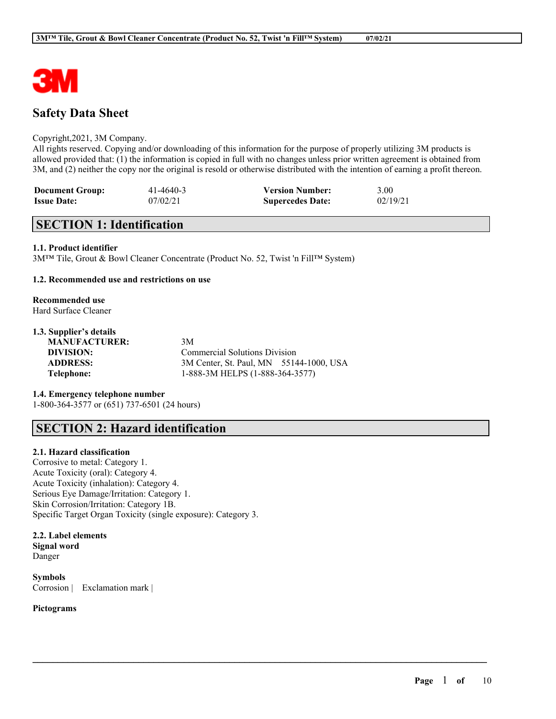

# **Safety Data Sheet**

#### Copyright,2021, 3M Company.

All rights reserved. Copying and/or downloading of this information for the purpose of properly utilizing 3M products is allowed provided that: (1) the information is copied in full with no changes unless prior written agreement is obtained from 3M, and (2) neither the copy nor the original is resold or otherwise distributed with the intention of earning a profit thereon.

| <b>Document Group:</b> | 41-4640-3 | <b>Version Number:</b>  | 3.00     |
|------------------------|-----------|-------------------------|----------|
| <b>Issue Date:</b>     | 07/02/21  | <b>Supercedes Date:</b> | 02/19/21 |

## **SECTION 1: Identification**

**1.1. Product identifier**

3M™ Tile, Grout & Bowl Cleaner Concentrate (Product No. 52, Twist 'n Fill™ System)

## **1.2. Recommended use and restrictions on use**

#### **Recommended use** Hard Surface Cleaner

# **1.3. Supplier's details**

| <b>MANUFACTURER:</b> | 3M  |
|----------------------|-----|
| DIVISION:            | Cot |
| <b>ADDRESS:</b>      | 3M  |
| Telephone:           | 1-8 |

**Commercial Solutions Division** 3M Center, St. Paul, MN 55144-1000, USA **Telephone:** 1-888-3M HELPS (1-888-364-3577)

 $\mathcal{L}_\mathcal{L} = \mathcal{L}_\mathcal{L} = \mathcal{L}_\mathcal{L} = \mathcal{L}_\mathcal{L} = \mathcal{L}_\mathcal{L} = \mathcal{L}_\mathcal{L} = \mathcal{L}_\mathcal{L} = \mathcal{L}_\mathcal{L} = \mathcal{L}_\mathcal{L} = \mathcal{L}_\mathcal{L} = \mathcal{L}_\mathcal{L} = \mathcal{L}_\mathcal{L} = \mathcal{L}_\mathcal{L} = \mathcal{L}_\mathcal{L} = \mathcal{L}_\mathcal{L} = \mathcal{L}_\mathcal{L} = \mathcal{L}_\mathcal{L}$ 

# **1.4. Emergency telephone number**

1-800-364-3577 or (651) 737-6501 (24 hours)

# **SECTION 2: Hazard identification**

## **2.1. Hazard classification**

Corrosive to metal: Category 1. Acute Toxicity (oral): Category 4. Acute Toxicity (inhalation): Category 4. Serious Eye Damage/Irritation: Category 1. Skin Corrosion/Irritation: Category 1B. Specific Target Organ Toxicity (single exposure): Category 3.

### **2.2. Label elements Signal word** Danger

**Symbols** Corrosion | Exclamation mark |

#### **Pictograms**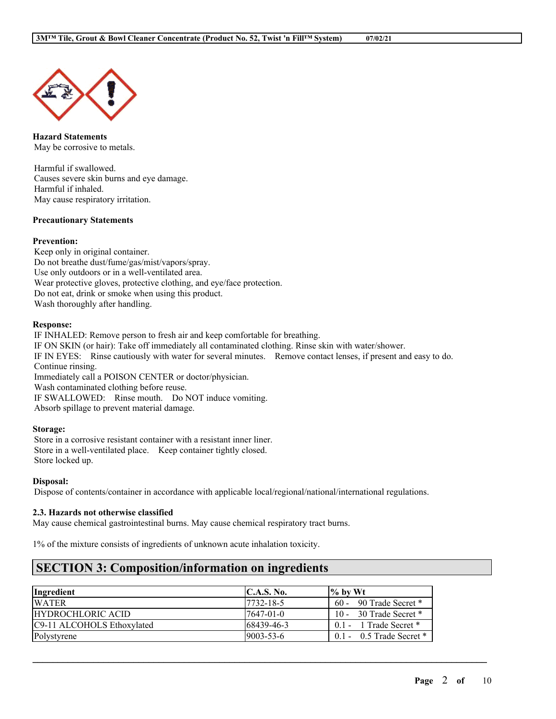

**Hazard Statements** May be corrosive to metals.

Harmful if swallowed. Causes severe skin burns and eye damage. Harmful if inhaled. May cause respiratory irritation.

#### **Precautionary Statements**

#### **Prevention:**

Keep only in original container. Do not breathe dust/fume/gas/mist/vapors/spray. Use only outdoors or in a well-ventilated area. Wear protective gloves, protective clothing, and eye/face protection. Do not eat, drink or smoke when using this product. Wash thoroughly after handling.

#### **Response:**

IF INHALED: Remove person to fresh air and keep comfortable for breathing. IF ON SKIN (or hair): Take off immediately all contaminated clothing. Rinse skin with water/shower. IF IN EYES: Rinse cautiously with water for several minutes. Remove contact lenses, if present and easy to do. Continue rinsing. Immediately call a POISON CENTER or doctor/physician. Wash contaminated clothing before reuse. IF SWALLOWED: Rinse mouth. Do NOT induce vomiting. Absorb spillage to prevent material damage.

### **Storage:**

Store in a corrosive resistant container with a resistant inner liner. Store in a well-ventilated place. Keep container tightly closed. Store locked up.

#### **Disposal:**

Dispose of contents/container in accordance with applicable local/regional/national/international regulations.

#### **2.3. Hazards not otherwise classified**

May cause chemical gastrointestinal burns. May cause chemical respiratory tract burns.

1% of the mixture consists of ingredients of unknown acute inhalation toxicity.

## **SECTION 3: Composition/information on ingredients**

| <i>Ingredient</i>          | $\mathbf{C}.\mathbf{A}.\mathbf{S}.\mathbf{No}.$ | $\frac{1}{6}$ by Wt          |
|----------------------------|-------------------------------------------------|------------------------------|
| <b>WATER</b>               | 17732-18-5                                      | $60 - 90$ Trade Secret $*$   |
| HYDROCHLORIC ACID          | 17647-01-0                                      | 10 - 30 Trade Secret $*$     |
| C9-11 ALCOHOLS Ethoxylated | 168439-46-3                                     | $0.1 - 1$ Trade Secret $*$   |
| Polystyrene                | $19003 - 53 - 6$                                | $0.1 - 0.5$ Trade Secret $*$ |

 $\mathcal{L}_\mathcal{L} = \mathcal{L}_\mathcal{L} = \mathcal{L}_\mathcal{L} = \mathcal{L}_\mathcal{L} = \mathcal{L}_\mathcal{L} = \mathcal{L}_\mathcal{L} = \mathcal{L}_\mathcal{L} = \mathcal{L}_\mathcal{L} = \mathcal{L}_\mathcal{L} = \mathcal{L}_\mathcal{L} = \mathcal{L}_\mathcal{L} = \mathcal{L}_\mathcal{L} = \mathcal{L}_\mathcal{L} = \mathcal{L}_\mathcal{L} = \mathcal{L}_\mathcal{L} = \mathcal{L}_\mathcal{L} = \mathcal{L}_\mathcal{L}$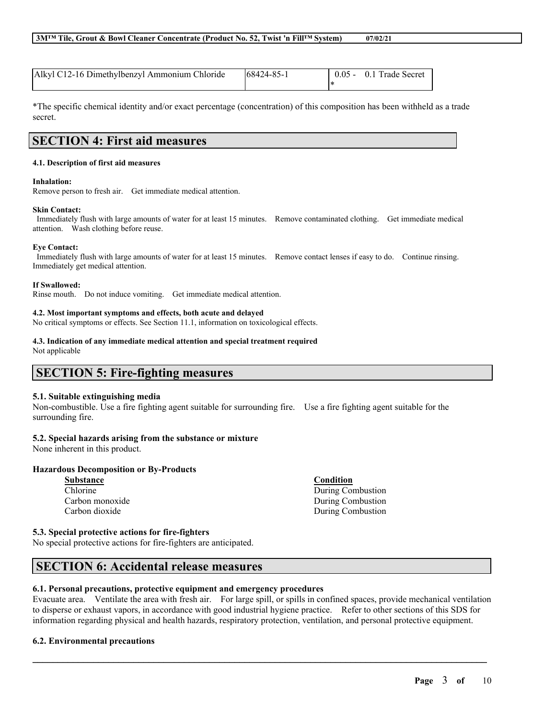| Alkyl C12-16 Dimethylbenzyl Ammonium Chloride | 168424-85-1 | $0.05 - 0.1$ Trade Secret |
|-----------------------------------------------|-------------|---------------------------|
|                                               |             |                           |

\*The specific chemical identity and/or exact percentage (concentration) of this composition has been withheld as a trade secret.

# **SECTION 4: First aid measures**

#### **4.1. Description of first aid measures**

#### **Inhalation:**

Remove person to fresh air. Get immediate medical attention.

#### **Skin Contact:**

Immediately flush with large amounts of water for at least 15 minutes. Remove contaminated clothing. Get immediate medical attention. Wash clothing before reuse.

#### **Eye Contact:**

Immediately flush with large amounts of water for at least 15 minutes. Remove contact lenses if easy to do. Continue rinsing. Immediately get medical attention.

**If Swallowed:**

Rinse mouth. Do not induce vomiting. Get immediate medical attention.

#### **4.2. Most important symptoms and effects, both acute and delayed**

No critical symptoms or effects. See Section 11.1, information on toxicological effects.

## **4.3. Indication of any immediate medical attention and special treatment required**

Not applicable

## **SECTION 5: Fire-fighting measures**

#### **5.1. Suitable extinguishing media**

Non-combustible. Use a fire fighting agent suitable for surrounding fire. Use a fire fighting agent suitable for the surrounding fire.

## **5.2. Special hazards arising from the substance or mixture**

None inherent in this product.

## **Hazardous Decomposition or By-Products**

| Substance       |
|-----------------|
| Chlorine        |
| Carbon monoxide |
| Carbon dioxide  |

**5.3. Special protective actions for fire-fighters**

No special protective actions for fire-fighters are anticipated.

## **SECTION 6: Accidental release measures**

## **6.1. Personal precautions, protective equipment and emergency procedures**

Evacuate area. Ventilate the area with fresh air. For large spill, or spills in confined spaces, provide mechanical ventilation to disperse or exhaust vapors, in accordance with good industrial hygiene practice. Refer to other sections of this SDS for information regarding physical and health hazards, respiratory protection, ventilation, and personal protective equipment.

 $\mathcal{L}_\mathcal{L} = \mathcal{L}_\mathcal{L} = \mathcal{L}_\mathcal{L} = \mathcal{L}_\mathcal{L} = \mathcal{L}_\mathcal{L} = \mathcal{L}_\mathcal{L} = \mathcal{L}_\mathcal{L} = \mathcal{L}_\mathcal{L} = \mathcal{L}_\mathcal{L} = \mathcal{L}_\mathcal{L} = \mathcal{L}_\mathcal{L} = \mathcal{L}_\mathcal{L} = \mathcal{L}_\mathcal{L} = \mathcal{L}_\mathcal{L} = \mathcal{L}_\mathcal{L} = \mathcal{L}_\mathcal{L} = \mathcal{L}_\mathcal{L}$ 

## **6.2. Environmental precautions**

**Condition** During Combustion During Combustion During Combustion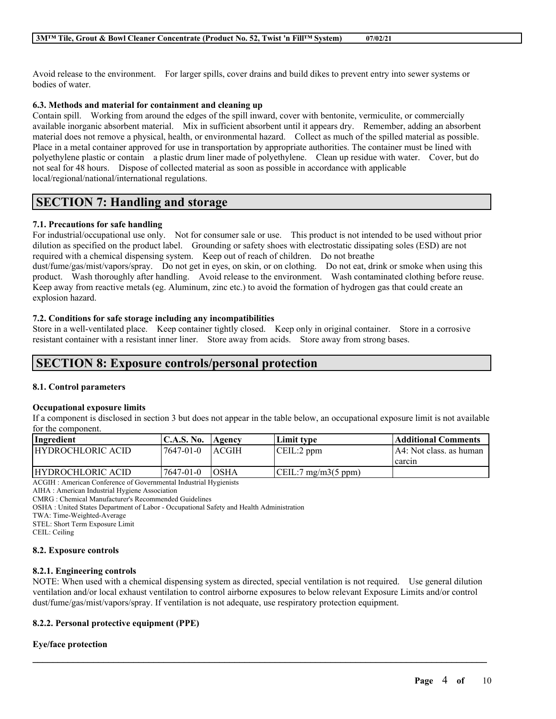Avoid release to the environment. For larger spills, cover drains and build dikes to prevent entry into sewer systems or bodies of water.

### **6.3. Methods and material for containment and cleaning up**

Contain spill. Working from around the edges of the spill inward, cover with bentonite, vermiculite, or commercially available inorganic absorbent material. Mix in sufficient absorbent until it appears dry. Remember, adding an absorbent material does not remove a physical, health, or environmental hazard. Collect as much of the spilled material as possible. Place in a metal container approved for use in transportation by appropriate authorities. The container must be lined with polyethylene plastic or contain a plastic drum liner made of polyethylene. Clean up residue with water. Cover, but do not seal for 48 hours. Dispose of collected material as soon as possible in accordance with applicable local/regional/national/international regulations.

## **SECTION 7: Handling and storage**

## **7.1. Precautions for safe handling**

For industrial/occupational use only. Not for consumer sale or use. This product is not intended to be used without prior dilution as specified on the product label. Grounding or safety shoes with electrostatic dissipating soles (ESD) are not required with a chemical dispensing system. Keep out of reach of children. Do not breathe dust/fume/gas/mist/vapors/spray. Do not get in eyes, on skin, or on clothing. Do not eat, drink or smoke when using this product. Wash thoroughly after handling. Avoid release to the environment. Wash contaminated clothing before reuse. Keep away from reactive metals (eg. Aluminum, zinc etc.) to avoid the formation of hydrogen gas that could create an explosion hazard.

#### **7.2. Conditions for safe storage including any incompatibilities**

Store in a well-ventilated place. Keep container tightly closed. Keep only in original container. Store in a corrosive resistant container with a resistant inner liner. Store away from acids. Store away from strong bases.

# **SECTION 8: Exposure controls/personal protection**

#### **8.1. Control parameters**

#### **Occupational exposure limits**

If a component is disclosed in section 3 but does not appear in the table below, an occupational exposure limit is not available for the component.

| Ingredient                                                 | C.A.S. No.   Agency |               | Limit type                    | Additional Comments      |
|------------------------------------------------------------|---------------------|---------------|-------------------------------|--------------------------|
| HYDROCHLORIC ACID                                          | 7647-01-0           | <b>LACGIH</b> | CEIL:2 ppm                    | IA4: Not class. as human |
|                                                            |                     |               |                               | I carcin                 |
| HYDROCHLORIC ACID                                          | 7647-01-0           | <b>IOSHA</b>  | $\text{[CEIL:7 mg/m3(5 ppm)}$ |                          |
| $\sim$ $\sim$ $\sim$ $\sim$ $\sim$ $\sim$<br>$\sim$ $\sim$ |                     |               |                               |                          |

ACGIH : American Conference of Governmental Industrial Hygienists

AIHA : American Industrial Hygiene Association

CMRG : Chemical Manufacturer's Recommended Guidelines

OSHA : United States Department of Labor - Occupational Safety and Health Administration

TWA: Time-Weighted-Average

STEL: Short Term Exposure Limit

CEIL: Ceiling

#### **8.2. Exposure controls**

#### **8.2.1. Engineering controls**

NOTE: When used with a chemical dispensing system as directed, special ventilation is not required. Use general dilution ventilation and/or local exhaust ventilation to control airborne exposures to below relevant Exposure Limits and/or control dust/fume/gas/mist/vapors/spray. If ventilation is not adequate, use respiratory protection equipment.

 $\mathcal{L}_\mathcal{L} = \mathcal{L}_\mathcal{L} = \mathcal{L}_\mathcal{L} = \mathcal{L}_\mathcal{L} = \mathcal{L}_\mathcal{L} = \mathcal{L}_\mathcal{L} = \mathcal{L}_\mathcal{L} = \mathcal{L}_\mathcal{L} = \mathcal{L}_\mathcal{L} = \mathcal{L}_\mathcal{L} = \mathcal{L}_\mathcal{L} = \mathcal{L}_\mathcal{L} = \mathcal{L}_\mathcal{L} = \mathcal{L}_\mathcal{L} = \mathcal{L}_\mathcal{L} = \mathcal{L}_\mathcal{L} = \mathcal{L}_\mathcal{L}$ 

### **8.2.2. Personal protective equipment (PPE)**

## **Eye/face protection**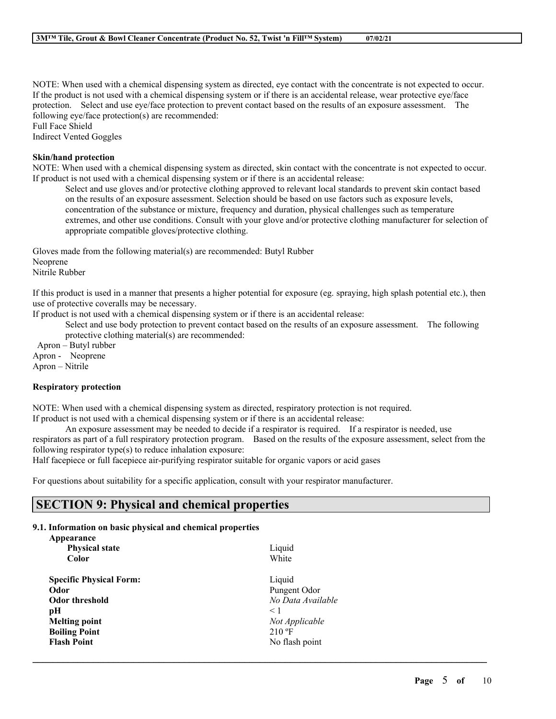NOTE: When used with a chemical dispensing system as directed, eye contact with the concentrate is not expected to occur. If the product is not used with a chemical dispensing system or if there is an accidental release, wear protective eye/face protection. Select and use eye/face protection to prevent contact based on the results of an exposure assessment. The following eye/face protection(s) are recommended:

Full Face Shield Indirect Vented Goggles

### **Skin/hand protection**

NOTE: When used with a chemical dispensing system as directed, skin contact with the concentrate is not expected to occur. If product is not used with a chemical dispensing system or if there is an accidental release:

Select and use gloves and/or protective clothing approved to relevant local standards to prevent skin contact based on the results of an exposure assessment. Selection should be based on use factors such as exposure levels, concentration of the substance or mixture, frequency and duration, physical challenges such as temperature extremes, and other use conditions. Consult with your glove and/or protective clothing manufacturer for selection of appropriate compatible gloves/protective clothing.

Gloves made from the following material(s) are recommended: Butyl Rubber Neoprene

Nitrile Rubber

If this product is used in a manner that presents a higher potential for exposure (eg. spraying, high splash potential etc.), then use of protective coveralls may be necessary.

If product is not used with a chemical dispensing system or if there is an accidental release:

Select and use body protection to prevent contact based on the results of an exposure assessment. The following protective clothing material(s) are recommended:

Apron – Butyl rubber Apron - Neoprene Apron – Nitrile

## **Respiratory protection**

NOTE: When used with a chemical dispensing system as directed, respiratory protection is not required.

If product is not used with a chemical dispensing system or if there is an accidental release:

An exposure assessment may be needed to decide if a respirator is required. If a respirator is needed, use respirators as part of a full respiratory protection program. Based on the results of the exposure assessment, select from the following respirator type(s) to reduce inhalation exposure:

 $\mathcal{L}_\mathcal{L} = \mathcal{L}_\mathcal{L} = \mathcal{L}_\mathcal{L} = \mathcal{L}_\mathcal{L} = \mathcal{L}_\mathcal{L} = \mathcal{L}_\mathcal{L} = \mathcal{L}_\mathcal{L} = \mathcal{L}_\mathcal{L} = \mathcal{L}_\mathcal{L} = \mathcal{L}_\mathcal{L} = \mathcal{L}_\mathcal{L} = \mathcal{L}_\mathcal{L} = \mathcal{L}_\mathcal{L} = \mathcal{L}_\mathcal{L} = \mathcal{L}_\mathcal{L} = \mathcal{L}_\mathcal{L} = \mathcal{L}_\mathcal{L}$ 

Half facepiece or full facepiece air-purifying respirator suitable for organic vapors or acid gases

For questions about suitability for a specific application, consult with your respirator manufacturer.

## **SECTION 9: Physical and chemical properties**

## **9.1. Information on basic physical and chemical properties**

| Appearance                     |                   |
|--------------------------------|-------------------|
| <b>Physical state</b>          | Liquid            |
| Color                          | White             |
| <b>Specific Physical Form:</b> | Liquid            |
| Odor                           | Pungent Odor      |
| Odor threshold                 | No Data Available |
| pН                             | $\leq 1$          |
| <b>Melting point</b>           | Not Applicable    |
| <b>Boiling Point</b>           | $210 \text{°F}$   |
| <b>Flash Point</b>             | No flash point    |
|                                |                   |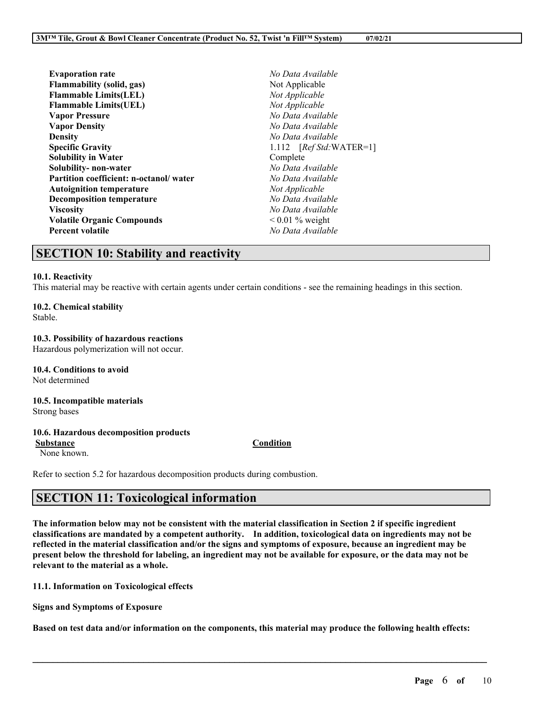| <b>Evaporation rate</b>                | No Data Available        |
|----------------------------------------|--------------------------|
| <b>Flammability (solid, gas)</b>       | Not Applicable           |
| <b>Flammable Limits(LEL)</b>           | Not Applicable           |
| <b>Flammable Limits(UEL)</b>           | Not Applicable           |
| <b>Vapor Pressure</b>                  | No Data Available        |
| <b>Vapor Density</b>                   | No Data Available        |
| Densitv                                | No Data Available        |
| <b>Specific Gravity</b>                | 1.112 $[RefStd:WATER=1]$ |
| <b>Solubility in Water</b>             | Complete                 |
| Solubility- non-water                  | No Data Available        |
| Partition coefficient: n-octanol/water | No Data Available        |
| <b>Autoignition temperature</b>        | Not Applicable           |
| <b>Decomposition temperature</b>       | No Data Available        |
| <b>Viscosity</b>                       | No Data Available        |
| <b>Volatile Organic Compounds</b>      | $0.01\%$ weight          |
| <b>Percent volatile</b>                | No Data Available        |

## **SECTION 10: Stability and reactivity**

#### **10.1. Reactivity**

This material may be reactive with certain agents under certain conditions - see the remaining headings in this section.

#### **10.2. Chemical stability**

Stable.

#### **10.3. Possibility of hazardous reactions**

Hazardous polymerization will not occur.

**10.4. Conditions to avoid** Not determined

## **10.5. Incompatible materials**

Strong bases

#### **10.6. Hazardous decomposition products**

**Substance Condition**

None known.

Refer to section 5.2 for hazardous decomposition products during combustion.

# **SECTION 11: Toxicological information**

The information below may not be consistent with the material classification in Section 2 if specific ingredient **classifications are mandated by a competent authority. In addition, toxicological data on ingredients may not be** reflected in the material classification and/or the signs and symptoms of exposure, because an ingredient may be present below the threshold for labeling, an ingredient may not be available for exposure, or the data may not be **relevant to the material as a whole.**

**11.1. Information on Toxicological effects**

**Signs and Symptoms of Exposure**

Based on test data and/or information on the components, this material may produce the following health effects:

 $\mathcal{L}_\mathcal{L} = \mathcal{L}_\mathcal{L} = \mathcal{L}_\mathcal{L} = \mathcal{L}_\mathcal{L} = \mathcal{L}_\mathcal{L} = \mathcal{L}_\mathcal{L} = \mathcal{L}_\mathcal{L} = \mathcal{L}_\mathcal{L} = \mathcal{L}_\mathcal{L} = \mathcal{L}_\mathcal{L} = \mathcal{L}_\mathcal{L} = \mathcal{L}_\mathcal{L} = \mathcal{L}_\mathcal{L} = \mathcal{L}_\mathcal{L} = \mathcal{L}_\mathcal{L} = \mathcal{L}_\mathcal{L} = \mathcal{L}_\mathcal{L}$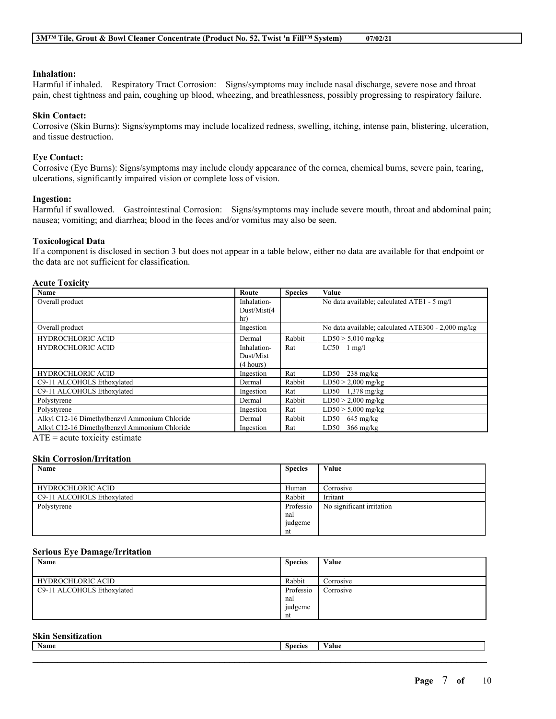### **Inhalation:**

Harmful if inhaled. Respiratory Tract Corrosion: Signs/symptoms may include nasal discharge, severe nose and throat pain, chest tightness and pain, coughing up blood, wheezing, and breathlessness, possibly progressing to respiratory failure.

## **Skin Contact:**

Corrosive (Skin Burns): Signs/symptoms may include localized redness, swelling, itching, intense pain, blistering, ulceration, and tissue destruction.

#### **Eye Contact:**

Corrosive (Eye Burns): Signs/symptoms may include cloudy appearance of the cornea, chemical burns, severe pain, tearing, ulcerations, significantly impaired vision or complete loss of vision.

#### **Ingestion:**

Harmful if swallowed. Gastrointestinal Corrosion: Signs/symptoms may include severe mouth, throat and abdominal pain; nausea; vomiting; and diarrhea; blood in the feces and/or vomitus may also be seen.

#### **Toxicological Data**

If a component is disclosed in section 3 but does not appear in a table below, either no data are available for that endpoint or the data are not sufficient for classification.

#### **Acute Toxicity**

| Route       | <b>Species</b> | Value                                              |
|-------------|----------------|----------------------------------------------------|
| Inhalation- |                | No data available; calculated ATE1 - 5 mg/l        |
| Dust/Mist(4 |                |                                                    |
| hr)         |                |                                                    |
| Ingestion   |                | No data available; calculated ATE300 - 2,000 mg/kg |
| Dermal      | Rabbit         | $LD50 > 5,010$ mg/kg                               |
| Inhalation- | Rat            | $LC50$ 1 mg/l                                      |
| Dust/Mist   |                |                                                    |
| (4 hours)   |                |                                                    |
| Ingestion   | Rat            | LD50<br>$238 \text{ mg/kg}$                        |
| Dermal      | Rabbit         | $LD50 > 2,000$ mg/kg                               |
| Ingestion   | Rat            | LD50 $1,378 \text{ mg/kg}$                         |
| Dermal      | Rabbit         | $LD50 > 2,000$ mg/kg                               |
| Ingestion   | Rat            | $LD50 > 5,000$ mg/kg                               |
| Dermal      | Rabbit         | LD50<br>$645 \text{ mg/kg}$                        |
| Ingestion   | Rat            | LD50<br>$366 \text{ mg/kg}$                        |
|             |                |                                                    |

 $ATE = acute$  toxicity estimate

#### **Skin Corrosion/Irritation**

| Name                       | <b>Species</b> | Value                     |
|----------------------------|----------------|---------------------------|
|                            |                |                           |
| <b>HYDROCHLORIC ACID</b>   | Human          | Corrosive                 |
| C9-11 ALCOHOLS Ethoxylated | Rabbit         | Irritant                  |
| Polystyrene                | Professio      | No significant irritation |
|                            | nal            |                           |
|                            | judgeme        |                           |
|                            | nt             |                           |

#### **Serious Eye Damage/Irritation**

| Name                       | <b>Species</b> | Value     |
|----------------------------|----------------|-----------|
|                            |                |           |
| <b>HYDROCHLORIC ACID</b>   | Rabbit         | Corrosive |
| C9-11 ALCOHOLS Ethoxylated | Professio      | Corrosive |
|                            | nal            |           |
|                            | judgeme        |           |
|                            | nt             |           |

#### **Skin Sensitization**

| $\mathbf{A}$<br>Name | $\sim$<br>Species | __<br>'alue |
|----------------------|-------------------|-------------|
|                      |                   |             |
|                      |                   |             |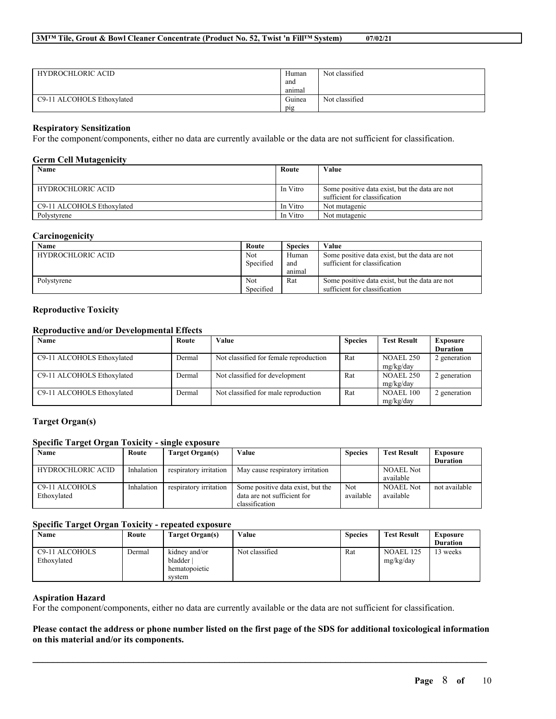| <b>HYDROCHLORIC ACID</b>   | Human  | Not classified |
|----------------------------|--------|----------------|
|                            | and    |                |
|                            | animal |                |
| C9-11 ALCOHOLS Ethoxylated | Guinea | Not classified |
|                            | pig    |                |

#### **Respiratory Sensitization**

For the component/components, either no data are currently available or the data are not sufficient for classification.

#### **Germ Cell Mutagenicity**

| Name                       | Route    | Value                                          |
|----------------------------|----------|------------------------------------------------|
|                            |          |                                                |
| <b>HYDROCHLORIC ACID</b>   | In Vitro | Some positive data exist, but the data are not |
|                            |          | sufficient for classification                  |
| C9-11 ALCOHOLS Ethoxylated | In Vitro | Not mutagenic                                  |
| Polystyrene                | In Vitro | Not mutagenic                                  |

### **Carcinogenicity**

| Name                     | Route     | <b>Species</b> | Value                                          |
|--------------------------|-----------|----------------|------------------------------------------------|
| <b>HYDROCHLORIC ACID</b> | Not       | Human          | Some positive data exist, but the data are not |
|                          | Specified | and            | sufficient for classification                  |
|                          |           | animal         |                                                |
| Polystyrene              | Not       | Rat            | Some positive data exist, but the data are not |
|                          | Specified |                | sufficient for classification                  |

## **Reproductive Toxicity**

## **Reproductive and/or Developmental Effects**

| Name                       | Route  | Value                                  | <b>Species</b> | <b>Test Result</b>     | <b>Exposure</b><br><b>Duration</b> |
|----------------------------|--------|----------------------------------------|----------------|------------------------|------------------------------------|
| C9-11 ALCOHOLS Ethoxylated | Dermal | Not classified for female reproduction | Rat            | NOAEL 250<br>mg/kg/day | 2 generation                       |
| C9-11 ALCOHOLS Ethoxylated | Dermal | Not classified for development         | Rat            | NOAEL 250<br>mg/kg/day | 2 generation                       |
| C9-11 ALCOHOLS Ethoxylated | Dermal | Not classified for male reproduction   | Rat            | NOAEL 100<br>mg/kg/day | 2 generation                       |

## **Target Organ(s)**

### **Specific Target Organ Toxicity - single exposure**

| Name                        | Route      | Target Organ(s)        | Value                             | <b>Species</b> | <b>Test Result</b> | Exposure        |
|-----------------------------|------------|------------------------|-----------------------------------|----------------|--------------------|-----------------|
|                             |            |                        |                                   |                |                    | <b>Duration</b> |
| <b>HYDROCHLORIC ACID</b>    | Inhalation | respiratory irritation | May cause respiratory irritation  |                | <b>NOAEL Not</b>   |                 |
|                             |            |                        |                                   |                | available          |                 |
| C <sub>9</sub> -11 ALCOHOLS | Inhalation | respiratory irritation | Some positive data exist, but the | <b>Not</b>     | <b>NOAEL Not</b>   | not available   |
| Ethoxylated                 |            |                        | data are not sufficient for       | available      | available          |                 |
|                             |            |                        | classification                    |                |                    |                 |

#### **Specific Target Organ Toxicity - repeated exposure**

| Name                          | Route  | Target Organ(s)                                     | Value          | <b>Species</b> | <b>Test Result</b>     | Exposure<br><b>Duration</b> |
|-------------------------------|--------|-----------------------------------------------------|----------------|----------------|------------------------|-----------------------------|
| C9-11 ALCOHOLS<br>Ethoxylated | Dermal | kidney and/or<br>bladder<br>hematopoietic<br>svstem | Not classified | Rat            | NOAEL 125<br>mg/kg/day | weeks                       |

#### **Aspiration Hazard**

For the component/components, either no data are currently available or the data are not sufficient for classification.

## Please contact the address or phone number listed on the first page of the SDS for additional toxicological information **on this material and/or its components.**

 $\mathcal{L}_\mathcal{L} = \mathcal{L}_\mathcal{L} = \mathcal{L}_\mathcal{L} = \mathcal{L}_\mathcal{L} = \mathcal{L}_\mathcal{L} = \mathcal{L}_\mathcal{L} = \mathcal{L}_\mathcal{L} = \mathcal{L}_\mathcal{L} = \mathcal{L}_\mathcal{L} = \mathcal{L}_\mathcal{L} = \mathcal{L}_\mathcal{L} = \mathcal{L}_\mathcal{L} = \mathcal{L}_\mathcal{L} = \mathcal{L}_\mathcal{L} = \mathcal{L}_\mathcal{L} = \mathcal{L}_\mathcal{L} = \mathcal{L}_\mathcal{L}$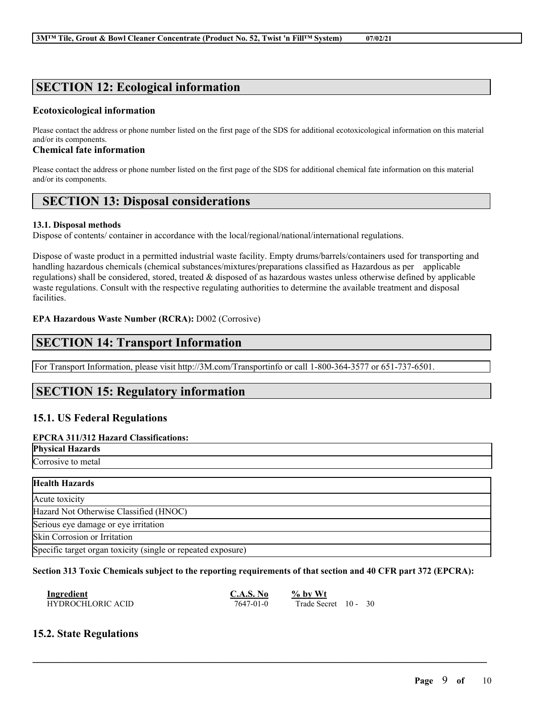# **SECTION 12: Ecological information**

## **Ecotoxicological information**

Please contact the address or phone number listed on the first page of the SDS for additional ecotoxicological information on this material and/or its components.

## **Chemical fate information**

Please contact the address or phone number listed on the first page of the SDS for additional chemical fate information on this material and/or its components.

## **SECTION 13: Disposal considerations**

### **13.1. Disposal methods**

Dispose of contents/ container in accordance with the local/regional/national/international regulations.

Dispose of waste product in a permitted industrial waste facility. Empty drums/barrels/containers used for transporting and handling hazardous chemicals (chemical substances/mixtures/preparations classified as Hazardous as per applicable regulations) shall be considered, stored, treated & disposed of as hazardous wastes unless otherwise defined by applicable waste regulations. Consult with the respective regulating authorities to determine the available treatment and disposal facilities.

## **EPA Hazardous Waste Number (RCRA):** D002 (Corrosive)

## **SECTION 14: Transport Information**

For Transport Information, please visit http://3M.com/Transportinfo or call 1-800-364-3577 or 651-737-6501.

## **SECTION 15: Regulatory information**

## **15.1. US Federal Regulations**

## **EPCRA 311/312 Hazard Classifications:**

**Physical Hazards** Corrosive to metal

| <b>Health Hazards</b>                                        |
|--------------------------------------------------------------|
| Acute toxicity                                               |
| Hazard Not Otherwise Classified (HNOC)                       |
| Serious eye damage or eye irritation                         |
| Skin Corrosion or Irritation                                 |
| Specific target organ toxicity (single or repeated exposure) |

#### Section 313 Toxic Chemicals subject to the reporting requirements of that section and 40 CFR part 372 (EPCRA):

 $\mathcal{L}_\mathcal{L} = \mathcal{L}_\mathcal{L} = \mathcal{L}_\mathcal{L} = \mathcal{L}_\mathcal{L} = \mathcal{L}_\mathcal{L} = \mathcal{L}_\mathcal{L} = \mathcal{L}_\mathcal{L} = \mathcal{L}_\mathcal{L} = \mathcal{L}_\mathcal{L} = \mathcal{L}_\mathcal{L} = \mathcal{L}_\mathcal{L} = \mathcal{L}_\mathcal{L} = \mathcal{L}_\mathcal{L} = \mathcal{L}_\mathcal{L} = \mathcal{L}_\mathcal{L} = \mathcal{L}_\mathcal{L} = \mathcal{L}_\mathcal{L}$ 

| Ingredient        | C.A.S. No | $\%$ by Wt           |  |  |
|-------------------|-----------|----------------------|--|--|
| HYDROCHLORIC ACID | 7647-01-0 | Trade Secret 10 - 30 |  |  |

## **15.2. State Regulations**